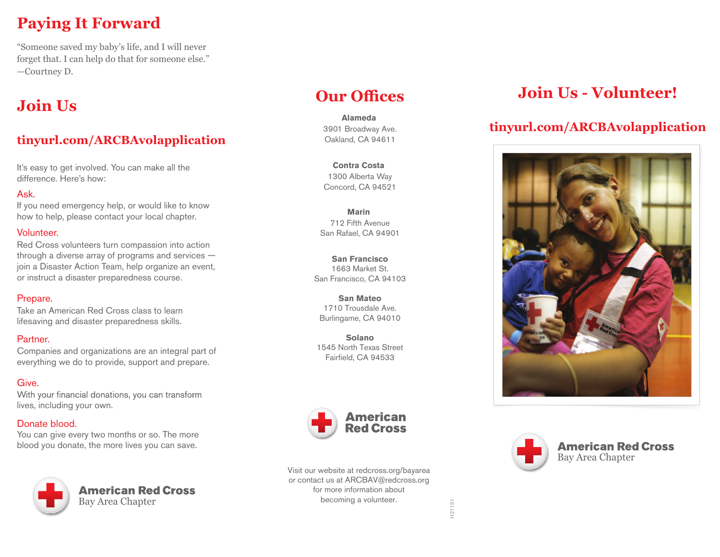# **Paying It Forward**

"Someone saved my baby's life, and I will never forget that. I can help do that for someone else." —Courtney D.

# **Join Us**

## **tinyurl.com/ARCBAvolapplication**

It's easy to get involved. You can make all the difference. Here's how:

## Ask.

If you need emergency help, or would like to know how to help, please contact your local chapter.

## Volunteer.

Red Cross volunteers turn compassion into action through a diverse array of programs and services join a Disaster Action Team, help organize an event, or instruct a disaster preparedness course.

## Prepare.

Take an American Red Cross class to learn lifesaving and disaster preparedness skills.

## Partner.

Companies and organizations are an integral part of everything we do to provide, support and prepare.

## Give.

With your financial donations, you can transform lives, including your own.

## Donate blood.

You can give every two months or so. The more blood you donate, the more lives you can save.



# **Our Offices**

3901 Broadway Ave. Oakland, CA 94611 **Alameda** 

1300 Alberta Way Concord, CA 94521 **Contra Costa** 

712 Fifth Avenue San Rafael, CA 94901 **Marin** 

**San Francisco** 1663 Market St. San Francisco, CA 94103

**San Mateo**  1710 Trousdale Ave. Burlingame, CA 94010

**Solano** 1545 North Texas Street Fairfield, CA 94533



Visit our website at redcross.org/bayarea or contact us at ARCBAV@redcross.org for more information about becoming a volunteer.

# **Join Us - Volunteer!**

## **tinyurl.com/ARCBAvolapplication**





**American Red Cross** Bay Area Chapter